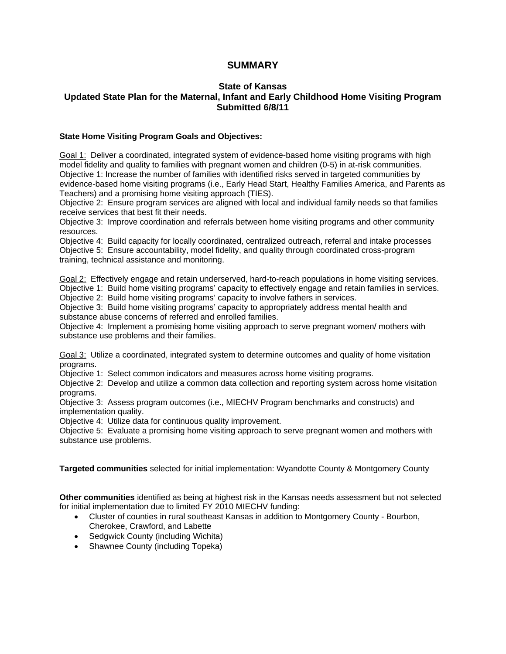# **SUMMARY**

## **State of Kansas Updated State Plan for the Maternal, Infant and Early Childhood Home Visiting Program Submitted 6/8/11**

### **State Home Visiting Program Goals and Objectives:**

Goal 1: Deliver a coordinated, integrated system of evidence-based home visiting programs with high Objective 1: Increase the number of families with identified risks served in targeted communities by evidence-based home visiting programs (i.e., Early Head Start, Healthy Families America, and Parents as Teachers) and a promising home visiting approach (TIES). model fidelity and quality to families with pregnant women and children (0-5) in at-risk communities.

Objective 2: Ensure program services are aligned with local and individual family needs so that families receive services that best fit their needs.

Objective 3: Improve coordination and referrals between home visiting programs and other community resources.

Objective 4: Build capacity for locally coordinated, centralized outreach, referral and intake processes Objective 5: Ensure accountability, model fidelity, and quality through coordinated cross-program training, technical assistance and monitoring.

Goal 2: Effectively engage and retain underserved, hard-to-reach populations in home visiting services. Objective 1: Build home visiting programs' capacity to effectively engage and retain families in services.

Objective 2: Build home visiting programs' capacity to involve fathers in services.

Objective 3: Build home visiting programs' capacity to appropriately address mental health and substance abuse concerns of referred and enrolled families.

Objective 4: Implement a promising home visiting approach to serve pregnant women/ mothers with substance use problems and their families.

Goal 3: Utilize a coordinated, integrated system to determine outcomes and quality of home visitation programs.

Objective 1: Select common indicators and measures across home visiting programs.

Objective 2: Develop and utilize a common data collection and reporting system across home visitation programs.

Objective 3: Assess program outcomes (i.e., MIECHV Program benchmarks and constructs) and implementation quality.

Objective 4: Utilize data for continuous quality improvement.

Objective 5: Evaluate a promising home visiting approach to serve pregnant women and mothers with substance use problems.

**Targeted communities** selected for initial implementation: Wyandotte County & Montgomery County

**Other communities** identified as being at highest risk in the Kansas needs assessment but not selected for initial implementation due to limited FY 2010 MIECHV funding:

- Cluster of counties in rural southeast Kansas in addition to Montgomery County Bourbon, Cherokee, Crawford, and Labette
- Sedgwick County (including Wichita)
- Shawnee County (including Topeka)